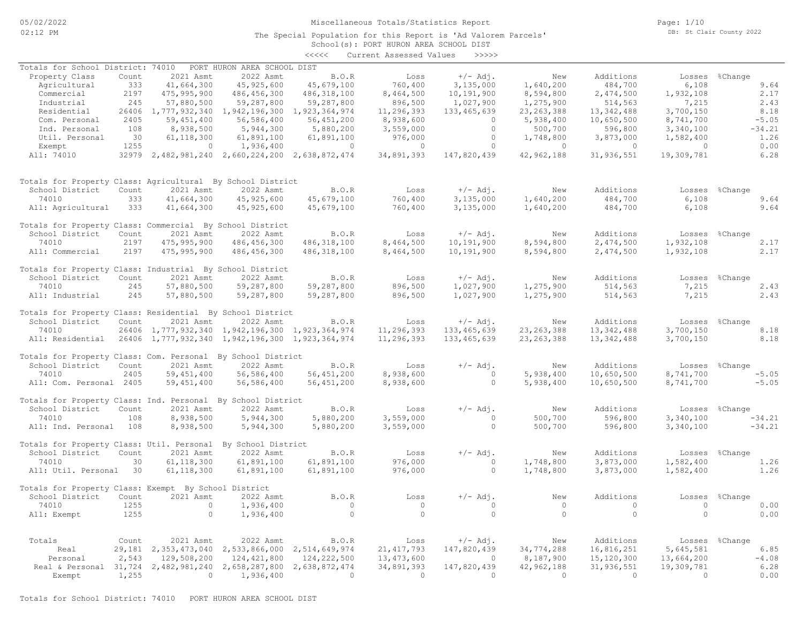05/02/2022 02:12 PM

### Miscellaneous Totals/Statistics Report

The Special Population for this Report is 'Ad Valorem Parcels'

Page: 1/10 DB: St Clair County 2022

# School(s): PORT HURON AREA SCHOOL DIST <<<<< Current Assessed Values >>>>>

| Totals for School District: 74010                                |       |                          | PORT HURON AREA SCHOOL DIST                     |                |                |                |                |                |            |                |
|------------------------------------------------------------------|-------|--------------------------|-------------------------------------------------|----------------|----------------|----------------|----------------|----------------|------------|----------------|
| Property Class                                                   | Count | 2021 Asmt                | 2022 Asmt                                       | B.O.R          | Loss           | $+/-$ Adj.     | New            | Additions      | Losses     | %Change        |
| Agricultural                                                     | 333   | 41,664,300               | 45, 925, 600                                    | 45,679,100     | 760,400        | 3,135,000      | 1,640,200      | 484,700        | 6,108      | 9.64           |
| Commercial                                                       | 2197  | 475,995,900              | 486, 456, 300                                   | 486, 318, 100  | 8,464,500      | 10,191,900     | 8,594,800      | 2,474,500      | 1,932,108  | 2.17           |
| Industrial                                                       | 245   | 57,880,500               | 59,287,800                                      | 59,287,800     | 896,500        | 1,027,900      | 1,275,900      | 514,563        | 7,215      | 2.43           |
| Residential                                                      |       | 26406 1,777,932,340      | 1,942,196,300                                   | 1,923,364,974  | 11,296,393     | 133, 465, 639  | 23, 263, 388   | 13, 342, 488   | 3,700,150  | 8.18           |
| Com. Personal                                                    | 2405  | 59, 451, 400             | 56,586,400                                      | 56,451,200     | 8,938,600      | $\circ$        | 5,938,400      | 10,650,500     | 8,741,700  | $-5.05$        |
|                                                                  |       |                          |                                                 |                |                | $\Omega$       |                |                |            |                |
| Ind. Personal                                                    | 108   | 8,938,500                | 5,944,300                                       | 5,880,200      | 3,559,000      |                | 500,700        | 596,800        | 3,340,100  | $-34.21$       |
| Util. Personal                                                   | 30    | 61, 118, 300             | 61,891,100                                      | 61,891,100     | 976,000        | $\bigcirc$     | 1,748,800      | 3,873,000      | 1,582,400  | 1.26           |
| Exempt                                                           | 1255  | $\overline{0}$           | 1,936,400                                       | $\overline{0}$ | $\overline{0}$ | $\Omega$       | $\sim$ 0       | $\overline{0}$ | $\sim$ 0   | 0.00           |
| All: 74010                                                       |       |                          | 32979 2,482,981,240 2,660,224,200 2,638,872,474 |                | 34,891,393     | 147,820,439    | 42,962,188     | 31,936,551     | 19,309,781 | 6.28           |
| Totals for Property Class: Agricultural By School District       |       |                          |                                                 |                |                |                |                |                |            |                |
| School District                                                  | Count | 2021 Asmt                | 2022 Asmt                                       | B.O.R          | Loss           | $+/-$ Adj.     | New            | Additions      |            | Losses %Change |
| 74010                                                            | 333   | 41,664,300               | 45, 925, 600                                    | 45,679,100     | 760,400        | 3,135,000      | 1,640,200      | 484,700        | 6,108      | 9.64           |
|                                                                  |       |                          |                                                 |                |                |                |                |                |            |                |
| All: Agricultural                                                | 333   | 41,664,300               | 45,925,600                                      | 45,679,100     | 760,400        | 3,135,000      | 1,640,200      | 484,700        | 6,108      | 9.64           |
| Totals for Property Class: Commercial By School District         |       |                          |                                                 |                |                |                |                |                |            |                |
| School District                                                  | Count | 2021 Asmt                | 2022 Asmt                                       | B.O.R          | Loss           | $+/-$ Adj.     | New            | Additions      |            | Losses %Change |
| 74010                                                            | 2197  | 475,995,900              | 486, 456, 300                                   | 486, 318, 100  | 8,464,500      | 10,191,900     | 8,594,800      | 2,474,500      | 1,932,108  | 2.17           |
| All: Commercial                                                  | 2197  | 475,995,900              | 486,456,300                                     | 486, 318, 100  | 8,464,500      | 10,191,900     | 8,594,800      | 2,474,500      | 1,932,108  | 2.17           |
| Totals for Property Class: Industrial By School District         |       |                          |                                                 |                |                |                |                |                |            |                |
| School District                                                  | Count | 2021 Asmt                | 2022 Asmt                                       | B.O.R          | Loss           | $+/-$ Adj.     | New            | Additions      |            | Losses %Change |
| 74010                                                            | 245   | 57,880,500               | 59,287,800                                      | 59,287,800     | 896,500        | 1,027,900      | 1,275,900      | 514,563        | 7,215      | 2.43           |
| All: Industrial                                                  | 245   | 57,880,500               | 59,287,800                                      | 59,287,800     | 896,500        | 1,027,900      | 1,275,900      | 514,563        | 7,215      | 2.43           |
|                                                                  |       |                          |                                                 |                |                |                |                |                |            |                |
| Totals for Property Class: Residential By School District        |       |                          |                                                 |                |                |                |                |                |            |                |
| School District                                                  | Count | 2021 Asmt                | 2022 Asmt                                       | B.O.R          | Loss           | $+/-$ Adj.     | New            | Additions      |            | Losses %Change |
| 74010                                                            |       |                          | 26406 1,777,932,340 1,942,196,300 1,923,364,974 |                | 11,296,393     | 133,465,639    | 23, 263, 388   | 13, 342, 488   | 3,700,150  | 8.18           |
| All: Residential 26406 1,777,932,340 1,942,196,300 1,923,364,974 |       |                          |                                                 |                | 11,296,393     | 133,465,639    | 23, 263, 388   | 13,342,488     | 3,700,150  | 8.18           |
| Totals for Property Class: Com. Personal By School District      |       |                          |                                                 |                |                |                |                |                |            |                |
| School District                                                  | Count | 2021 Asmt                | 2022 Asmt                                       | B.O.R          |                |                |                | Additions      |            |                |
|                                                                  |       |                          |                                                 |                | Loss           | $+/-$ Adj.     | New            |                |            | Losses %Change |
| 74010                                                            | 2405  | 59,451,400               | 56,586,400                                      | 56,451,200     | 8,938,600      | $\overline{0}$ | 5,938,400      | 10,650,500     | 8,741,700  | $-5.05$        |
| All: Com. Personal 2405                                          |       | 59, 451, 400             | 56,586,400                                      | 56, 451, 200   | 8,938,600      | $\circ$        | 5,938,400      | 10,650,500     | 8,741,700  | $-5.05$        |
| Totals for Property Class: Ind. Personal By School District      |       |                          |                                                 |                |                |                |                |                |            |                |
| School District                                                  | Count | 2021 Asmt                | 2022 Asmt                                       | B.O.R          | Loss           | $+/-$ Adj.     | New            | Additions      |            | Losses %Change |
| 74010                                                            | 108   | 8,938,500                | 5,944,300                                       | 5,880,200      | 3,559,000      | $\overline{0}$ | 500,700        | 596,800        | 3,340,100  | $-34.21$       |
| All: Ind. Personal                                               | 108   | 8,938,500                | 5,944,300                                       | 5,880,200      | 3,559,000      | $\circ$        | 500,700        | 596,800        | 3,340,100  | $-34.21$       |
|                                                                  |       |                          |                                                 |                |                |                |                |                |            |                |
| Totals for Property Class: Util. Personal By School District     |       |                          |                                                 |                |                |                |                |                |            |                |
| School District                                                  | Count | 2021 Asmt                | 2022 Asmt                                       | B.O.R          | Loss           | $+/-$ Adj.     | New            | Additions      |            | Losses %Change |
| 74010                                                            | 30    | 61, 118, 300             | 61,891,100                                      | 61,891,100     | 976,000        | $\bigcirc$     | 1,748,800      | 3,873,000      | 1,582,400  | 1.26           |
| All: Util. Personal 30                                           |       | 61, 118, 300             | 61,891,100                                      | 61,891,100     | 976,000        | $\Omega$       | 1,748,800      | 3,873,000      | 1,582,400  | 1.26           |
|                                                                  |       |                          |                                                 |                |                |                |                |                |            |                |
| Totals for Property Class: Exempt By School District             |       |                          |                                                 |                |                |                |                |                |            |                |
| School District                                                  | Count | 2021 Asmt                | 2022 Asmt                                       | B.O.R          | Loss           | $+/-$ Adj.     | New            | Additions      |            | Losses %Change |
| 74010                                                            | 1255  | $\overline{0}$           | 1,936,400                                       | $\overline{0}$ | $\overline{0}$ | $\circ$        | $\overline{0}$ | $\overline{0}$ | $\sim$ 0   | 0.00           |
| All: Exempt                                                      | 1255  | $\bigcirc$               | 1,936,400                                       | $\bigcirc$     | $\overline{0}$ | $\Omega$       | $\bigcirc$     | $\bigcirc$     | $\Omega$   | 0.00           |
|                                                                  |       |                          |                                                 |                |                |                |                |                |            |                |
| Totals                                                           | Count | 2021 Asmt                | 2022 Asmt                                       | B.O.R          | Loss           | $+/-$ Adj.     | New            | Additions      |            | Losses %Change |
| Real                                                             |       | 29, 181 2, 353, 473, 040 | 2,533,866,000 2,514,649,974                     |                | 21, 417, 793   | 147,820,439    | 34,774,288     | 16,816,251     | 5,645,581  | 6.85           |
| Personal                                                         | 2,543 | 129,508,200              | 124, 421, 800                                   | 124,222,500    | 13,473,600     | $\overline{0}$ | 8,187,900      | 15,120,300     | 13,664,200 | $-4.08$        |
| Real & Personal 31,724 2,482,981,240                             |       |                          | 2,658,287,800                                   | 2,638,872,474  | 34,891,393     | 147,820,439    | 42,962,188     | 31,936,551     | 19,309,781 | 6.28           |
| Exempt                                                           | 1,255 | $\sim$ 0                 | 1,936,400                                       | $\sim$ 0       | $\overline{0}$ | $\Omega$       | $\Omega$       | $\overline{0}$ | $\Omega$   | 0.00           |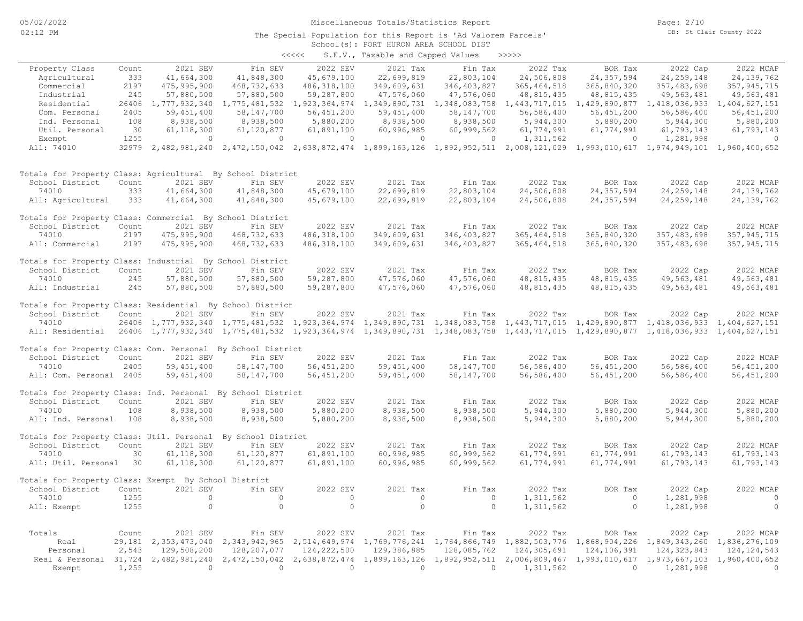# Miscellaneous Totals/Statistics Report

Page: 2/10 DB: St Clair County 2022

#### School(s): PORT HURON AREA SCHOOL DIST The Special Population for this Report is 'Ad Valorem Parcels'

| くくくくく | S.E.V., Taxable and Capped Values |  |  |  | >>>>> |
|-------|-----------------------------------|--|--|--|-------|
|-------|-----------------------------------|--|--|--|-------|

|                                                              |        |               |                                                                                                                                     |                | and capped                                |                                                                                     |               |                             |               |               |
|--------------------------------------------------------------|--------|---------------|-------------------------------------------------------------------------------------------------------------------------------------|----------------|-------------------------------------------|-------------------------------------------------------------------------------------|---------------|-----------------------------|---------------|---------------|
| Property Class                                               | Count  | 2021 SEV      | Fin SEV                                                                                                                             | 2022 SEV       | 2021 Tax                                  | Fin Tax                                                                             | 2022 Tax      | BOR Tax                     | 2022 Cap      | 2022 MCAP     |
| Agricultural                                                 | 333    | 41,664,300    | 41,848,300                                                                                                                          | 45,679,100     | 22,699,819                                | 22,803,104                                                                          | 24,506,808    | 24, 357, 594                | 24, 259, 148  | 24, 139, 762  |
| Commercial                                                   | 2197   | 475,995,900   | 468, 732, 633                                                                                                                       | 486, 318, 100  | 349,609,631                               | 346, 403, 827                                                                       | 365, 464, 518 | 365,840,320                 | 357,483,698   | 357, 945, 715 |
| Industrial                                                   | 245    | 57,880,500    | 57,880,500                                                                                                                          | 59,287,800     | 47,576,060                                | 47,576,060                                                                          | 48, 815, 435  | 48, 815, 435                | 49,563,481    | 49,563,481    |
| Residential                                                  | 26406  | 1,777,932,340 | 1,775,481,532                                                                                                                       | 1,923,364,974  | 1,349,890,731                             | 1,348,083,758                                                                       | 1,443,717,015 | 1,429,890,877               | 1,418,036,933 | 1,404,627,151 |
| Com. Personal                                                | 2405   | 59,451,400    | 58,147,700                                                                                                                          | 56,451,200     | 59,451,400                                | 58,147,700                                                                          | 56,586,400    | 56, 451, 200                | 56,586,400    | 56, 451, 200  |
| Ind. Personal                                                | 108    | 8,938,500     | 8,938,500                                                                                                                           | 5,880,200      | 8,938,500                                 | 8,938,500                                                                           | 5,944,300     | 5,880,200                   | 5,944,300     | 5,880,200     |
| Util. Personal                                               | 30     | 61, 118, 300  | 61,120,877                                                                                                                          | 61,891,100     | 60,996,985                                | 60,999,562                                                                          | 61,774,991    | 61,774,991                  | 61,793,143    | 61,793,143    |
| Exempt                                                       | 1255   | $\circ$       | $\overline{0}$                                                                                                                      | $\circ$        | $\circ$                                   | $\circ$                                                                             | 1,311,562     | $\circ$                     | 1,281,998     | $\circ$       |
| All: 74010                                                   |        |               | 32979 2,482,981,240 2,472,150,042 2,638,872,474 1,899,163,126 1,892,952,511 2,008,121,029 1,993,010,617 1,974,949,101 1,960,400,652 |                |                                           |                                                                                     |               |                             |               |               |
| Totals for Property Class: Agricultural By School District   |        |               |                                                                                                                                     |                |                                           |                                                                                     |               |                             |               |               |
| School District                                              | Count  | 2021 SEV      | Fin SEV                                                                                                                             | 2022 SEV       | 2021 Tax                                  | Fin Tax                                                                             | 2022 Tax      | BOR Tax                     | 2022 Cap      | 2022 MCAP     |
| 74010                                                        | 333    | 41,664,300    | 41,848,300                                                                                                                          | 45,679,100     | 22,699,819                                | 22,803,104                                                                          | 24,506,808    | 24, 357, 594                | 24, 259, 148  | 24, 139, 762  |
| All: Agricultural                                            | 333    | 41,664,300    | 41,848,300                                                                                                                          | 45,679,100     | 22,699,819                                | 22,803,104                                                                          | 24,506,808    | 24, 357, 594                | 24, 259, 148  | 24, 139, 762  |
| Totals for Property Class: Commercial By School District     |        |               |                                                                                                                                     |                |                                           |                                                                                     |               |                             |               |               |
| School District                                              | Count  | 2021 SEV      | Fin SEV                                                                                                                             | 2022 SEV       | 2021 Tax                                  | Fin Tax                                                                             | 2022 Tax      | BOR Tax                     | 2022 Cap      | 2022 MCAP     |
| 74010                                                        | 2197   | 475, 995, 900 | 468,732,633                                                                                                                         | 486, 318, 100  | 349,609,631                               | 346, 403, 827                                                                       | 365, 464, 518 | 365,840,320                 | 357, 483, 698 | 357, 945, 715 |
| All: Commercial                                              | 2197   | 475, 995, 900 | 468,732,633                                                                                                                         | 486, 318, 100  | 349,609,631                               | 346, 403, 827                                                                       | 365, 464, 518 | 365,840,320                 | 357, 483, 698 | 357, 945, 715 |
| Totals for Property Class: Industrial By School District     |        |               |                                                                                                                                     |                |                                           |                                                                                     |               |                             |               |               |
| School District                                              | Count  | 2021 SEV      | Fin SEV                                                                                                                             | 2022 SEV       | 2021 Tax                                  | Fin Tax                                                                             | 2022 Tax      | BOR Tax                     | 2022 Cap      | 2022 MCAP     |
| 74010                                                        | 245    | 57,880,500    | 57,880,500                                                                                                                          | 59,287,800     | 47,576,060                                | 47,576,060                                                                          | 48, 815, 435  | 48, 815, 435                | 49,563,481    | 49,563,481    |
| All: Industrial                                              | 245    | 57,880,500    | 57,880,500                                                                                                                          | 59,287,800     | 47,576,060                                | 47,576,060                                                                          | 48, 815, 435  | 48, 815, 435                | 49,563,481    | 49,563,481    |
| Totals for Property Class: Residential By School District    |        |               |                                                                                                                                     |                |                                           |                                                                                     |               |                             |               |               |
| School District                                              | Count  | 2021 SEV      | Fin SEV                                                                                                                             | 2022 SEV       | 2021 Tax                                  | Fin Tax                                                                             | 2022 Tax      | BOR Tax                     | 2022 Cap      | 2022 MCAP     |
| 74010                                                        | 26406  |               | 1,777,932,340 1,775,481,532                                                                                                         | 1,923,364,974  | 1, 349, 890, 731 1, 348, 083, 758         |                                                                                     | 1,443,717,015 | 1,429,890,877               | 1,418,036,933 | 1,404,627,151 |
| All: Residential                                             | 26406  |               | 1,777,932,340 1,775,481,532                                                                                                         |                |                                           | 1,923,364,974 1,349,890,731 1,348,083,758 1,443,717,015 1,429,890,877 1,418,036,933 |               |                             |               | 1,404,627,151 |
| Totals for Property Class: Com. Personal By School District  |        |               |                                                                                                                                     |                |                                           |                                                                                     |               |                             |               |               |
| School District                                              | Count  | 2021 SEV      | Fin SEV                                                                                                                             | 2022 SEV       | 2021 Tax                                  | Fin Tax                                                                             | 2022 Tax      | BOR Tax                     | 2022 Cap      | 2022 MCAP     |
| 74010                                                        | 2405   | 59, 451, 400  | 58, 147, 700                                                                                                                        | 56, 451, 200   | 59, 451, 400                              | 58, 147, 700                                                                        | 56,586,400    | 56, 451, 200                | 56,586,400    | 56, 451, 200  |
| All: Com. Personal 2405                                      |        | 59,451,400    | 58, 147, 700                                                                                                                        | 56,451,200     | 59,451,400                                | 58,147,700                                                                          | 56,586,400    | 56,451,200                  | 56,586,400    | 56,451,200    |
| Totals for Property Class: Ind. Personal By School District  |        |               |                                                                                                                                     |                |                                           |                                                                                     |               |                             |               |               |
| School District                                              | Count  | 2021 SEV      | Fin SEV                                                                                                                             | 2022 SEV       | 2021 Tax                                  | Fin Tax                                                                             | 2022 Tax      | BOR Tax                     | 2022 Cap      | 2022 MCAP     |
| 74010                                                        | 108    | 8,938,500     | 8,938,500                                                                                                                           | 5,880,200      | 8,938,500                                 | 8,938,500                                                                           | 5,944,300     | 5,880,200                   | 5,944,300     | 5,880,200     |
| All: Ind. Personal                                           | 108    | 8,938,500     | 8,938,500                                                                                                                           | 5,880,200      | 8,938,500                                 | 8,938,500                                                                           | 5,944,300     | 5,880,200                   | 5,944,300     | 5,880,200     |
| Totals for Property Class: Util. Personal By School District |        |               |                                                                                                                                     |                |                                           |                                                                                     |               |                             |               |               |
| School District                                              | Count  | 2021 SEV      | Fin SEV                                                                                                                             | 2022 SEV       | 2021 Tax                                  | Fin Tax                                                                             | 2022 Tax      | BOR Tax                     | 2022 Cap      | 2022 MCAP     |
| 74010                                                        | 30     | 61, 118, 300  | 61,120,877                                                                                                                          | 61,891,100     | 60,996,985                                | 60,999,562                                                                          | 61,774,991    | 61,774,991                  | 61,793,143    | 61,793,143    |
| All: Util. Personal                                          | 30     | 61, 118, 300  | 61,120,877                                                                                                                          | 61,891,100     | 60,996,985                                | 60,999,562                                                                          | 61,774,991    | 61,774,991                  | 61,793,143    | 61,793,143    |
| Totals for Property Class: Exempt By School District         |        |               |                                                                                                                                     |                |                                           |                                                                                     |               |                             |               |               |
| School District                                              | Count  | 2021 SEV      | Fin SEV                                                                                                                             | 2022 SEV       | 2021 Tax                                  | Fin Tax                                                                             | 2022 Tax      | BOR Tax                     | 2022 Cap      | 2022 MCAP     |
| 74010                                                        | 1255   | $\circ$       | $\circ$                                                                                                                             | $\circ$        | $\circ$                                   | $\circ$                                                                             | 1,311,562     | $\circ$                     | 1,281,998     | $\circ$       |
| All: Exempt                                                  | 1255   | $\circ$       | $\Omega$                                                                                                                            | $\circ$        | $\circ$                                   | $\Omega$                                                                            | 1,311,562     | $\circ$                     | 1,281,998     | $\circ$       |
| Totals                                                       | Count  | 2021 SEV      | Fin SEV                                                                                                                             | 2022 SEV       | 2021 Tax                                  | Fin Tax                                                                             | 2022 Tax      | BOR Tax                     | 2022 Cap      | 2022 MCAP     |
| Real                                                         | 29,181 | 2,353,473,040 | 2,343,942,965                                                                                                                       |                | 2,514,649,974 1,769,776,241 1,764,866,749 |                                                                                     |               | 1,882,503,776 1,868,904,226 | 1,849,343,260 | 1,836,276,109 |
| Personal                                                     | 2,543  | 129,508,200   | 128,207,077                                                                                                                         | 124,222,500    | 129,386,885                               | 128,085,762                                                                         | 124,305,691   | 124,106,391                 | 124, 323, 843 | 124, 124, 543 |
| Real & Personal 31,724 2,482,981,240                         |        |               | 2,472,150,042                                                                                                                       |                | 2,638,872,474 1,899,163,126               | 1,892,952,511                                                                       | 2,006,809,467 | 1,993,010,617               | 1,973,667,103 | 1,960,400,652 |
| Exempt                                                       | 1,255  | $\Omega$      | $\bigcirc$                                                                                                                          | $\overline{0}$ | $\Omega$                                  | $\Omega$                                                                            | 1,311,562     | $\Omega$                    | 1,281,998     | $\Omega$      |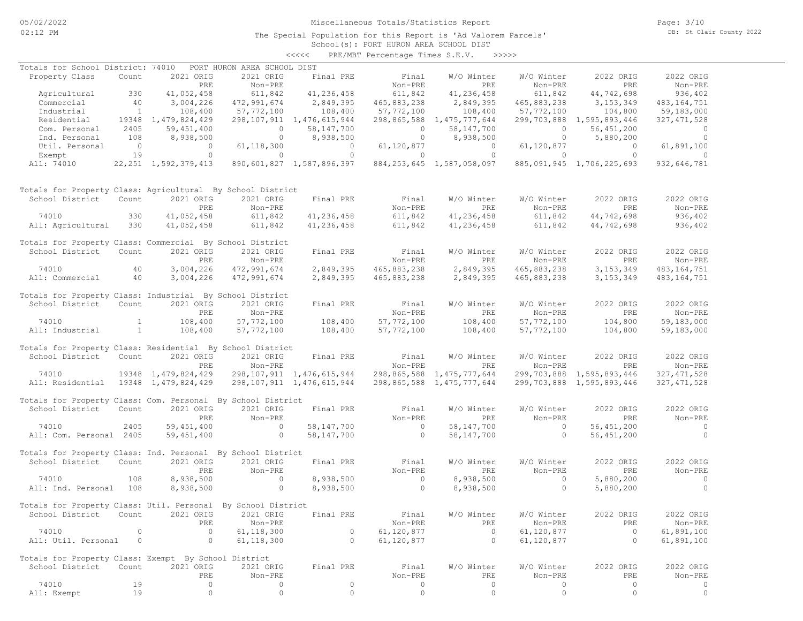# Miscellaneous Totals/Statistics Report

The Special Population for this Report is 'Ad Valorem Parcels'

School(s): PORT HURON AREA SCHOOL DIST <<<<< PRE/MBT Percentage Times S.E.V. >>>>>

| Totals for School District: 74010                            |                |                          | PORT HURON AREA SCHOOL DIST |                                |                          |                                |                |                           |                |
|--------------------------------------------------------------|----------------|--------------------------|-----------------------------|--------------------------------|--------------------------|--------------------------------|----------------|---------------------------|----------------|
| Property Class                                               | Count          | 2021 ORIG                | 2021 ORIG                   | Final PRE                      | Final                    | W/O Winter                     | W/O Winter     | 2022 ORIG                 | 2022 ORIG      |
|                                                              |                | PRE                      | Non-PRE                     |                                | Non-PRE                  | <b>PRE</b>                     | Non-PRE        | PRE                       | Non-PRE        |
|                                                              |                |                          |                             | 41,236,458                     | 611,842                  |                                |                |                           |                |
| Agricultural                                                 | 330            | 41,052,458               | 611,842                     |                                |                          | 41,236,458                     | 611,842        | 44,742,698                | 936,402        |
| Commercial                                                   | 40             | 3,004,226                | 472,991,674                 | 2,849,395                      | 465,883,238              | 2,849,395                      | 465,883,238    | 3, 153, 349               | 483, 164, 751  |
| Industrial                                                   | $\overline{1}$ | 108,400                  | 57,772,100                  | 108,400                        | 57,772,100               | 108,400                        | 57,772,100     | 104,800                   | 59,183,000     |
| Residential                                                  |                | 19348 1, 479, 824, 429   |                             | 298, 107, 911 1, 476, 615, 944 |                          | 298,865,588 1,475,777,644      |                | 299,703,888 1,595,893,446 | 327, 471, 528  |
| Com. Personal                                                | 2405           | 59, 451, 400             | $\circ$                     | 58,147,700                     | $\circ$                  | 58,147,700                     | $\circ$        | 56,451,200                | $\overline{0}$ |
| Ind. Personal                                                | 108            | 8,938,500                | $\circ$                     | 8,938,500                      | $\overline{\phantom{0}}$ | 8,938,500                      | $\circ$        | 5,880,200                 | $\overline{0}$ |
| Util. Personal                                               | $\overline{0}$ | $\overline{0}$           | 61, 118, 300                | $\overline{0}$                 | 61,120,877               | $\overline{0}$                 | 61,120,877     | $\overline{0}$            | 61,891,100     |
| Exempt                                                       | 19             | $\circ$                  | $\circ$                     | $\Omega$                       | $\circ$                  | $\bigcirc$                     | $\circ$        | $\overline{0}$            | $\Omega$       |
| All: 74010                                                   |                | 22, 251 1, 592, 379, 413 |                             | 890,601,827 1,587,896,397      |                          | 884, 253, 645 1, 587, 058, 097 |                | 885,091,945 1,706,225,693 | 932,646,781    |
| Totals for Property Class: Agricultural By School District   |                |                          |                             |                                |                          |                                |                |                           |                |
| School District                                              | Count          | 2021 ORIG                | 2021 ORIG                   | Final PRE                      | Final                    | W/O Winter                     | W/O Winter     | 2022 ORIG                 | 2022 ORIG      |
|                                                              |                | PRE                      | Non-PRE                     |                                | Non-PRE                  | PRE                            | Non-PRE        | PRE                       | Non-PRE        |
| 74010                                                        | 330            | 41,052,458               | 611,842                     | 41,236,458                     | 611,842                  | 41,236,458                     | 611,842        | 44,742,698                | 936,402        |
|                                                              |                |                          |                             |                                |                          |                                |                |                           |                |
| All: Agricultural                                            | 330            | 41,052,458               | 611,842                     | 41,236,458                     | 611,842                  | 41,236,458                     | 611,842        | 44,742,698                | 936,402        |
| Totals for Property Class: Commercial By School District     |                |                          |                             |                                |                          |                                |                |                           |                |
| School District                                              | Count          | 2021 ORIG                | 2021 ORIG                   | Final PRE                      | Final                    | W/O Winter                     | W/O Winter     | 2022 ORIG                 | 2022 ORIG      |
|                                                              |                | PRE                      | Non-PRE                     |                                | Non-PRE                  | PRE                            | Non-PRE        | PRE                       | Non-PRE        |
| 74010                                                        | 40             | 3,004,226                | 472,991,674                 | 2,849,395                      | 465,883,238              | 2,849,395                      | 465,883,238    | 3, 153, 349               | 483, 164, 751  |
| All: Commercial                                              | 40             | 3,004,226                |                             |                                |                          | 2,849,395                      |                |                           |                |
|                                                              |                |                          | 472,991,674                 | 2,849,395                      | 465,883,238              |                                | 465,883,238    | 3, 153, 349               | 483, 164, 751  |
| Totals for Property Class: Industrial By School District     |                |                          |                             |                                |                          |                                |                |                           |                |
| School District                                              | Count          | 2021 ORIG                | 2021 ORIG                   | Final PRE                      | Final                    | W/O Winter                     | W/O Winter     | 2022 ORIG                 | 2022 ORIG      |
|                                                              |                | PRE                      | Non-PRE                     |                                | Non-PRE                  | PRE                            | Non-PRE        | PRE                       | Non-PRE        |
|                                                              |                |                          |                             |                                |                          |                                |                |                           |                |
| 74010                                                        | $\mathbf{1}$   | 108,400                  | 57,772,100                  | 108,400                        | 57,772,100               | 108,400                        | 57, 772, 100   | 104,800                   | 59,183,000     |
| All: Industrial                                              | $\mathbf{1}$   | 108,400                  | 57,772,100                  | 108,400                        | 57,772,100               | 108,400                        | 57,772,100     | 104,800                   | 59,183,000     |
| Totals for Property Class: Residential By School District    |                |                          |                             |                                |                          |                                |                |                           |                |
|                                                              |                |                          |                             |                                |                          |                                |                | 2022 ORIG                 |                |
| School District                                              | Count          | 2021 ORIG                | 2021 ORIG                   | Final PRE                      | Final                    | W/O Winter                     | W/O Winter     |                           | 2022 ORIG      |
|                                                              |                | PRE                      | Non-PRE                     |                                | Non-PRE                  | PRE                            | Non-PRE        | PRE                       | Non-PRE        |
| 74010                                                        |                | 19348 1, 479, 824, 429   |                             | 298, 107, 911 1, 476, 615, 944 |                          | 298,865,588 1,475,777,644      |                | 299,703,888 1,595,893,446 | 327, 471, 528  |
| All: Residential                                             |                | 19348 1, 479, 824, 429   |                             | 298,107,911 1,476,615,944      |                          | 298,865,588 1,475,777,644      |                | 299,703,888 1,595,893,446 | 327, 471, 528  |
|                                                              |                |                          |                             |                                |                          |                                |                |                           |                |
| Totals for Property Class: Com. Personal By School District  |                |                          |                             |                                |                          |                                |                |                           |                |
| School District                                              | Count          | 2021 ORIG                | 2021 ORIG                   | Final PRE                      | Final                    | W/O Winter                     | W/O Winter     | 2022 ORIG                 | 2022 ORIG      |
|                                                              |                | PRE                      | Non-PRE                     |                                | Non-PRE                  | PRE                            | Non-PRE        | PRE                       | Non-PRE        |
| 74010                                                        | 2405           | 59, 451, 400             | $\overline{0}$              | 58, 147, 700                   | $\sim$ 0                 | 58,147,700                     | $\overline{0}$ | 56, 451, 200              | $\sim$ 0       |
| All: Com. Personal 2405                                      |                | 59, 451, 400             | $\overline{0}$              | 58,147,700                     | $\overline{0}$           | 58,147,700                     | $\circ$        | 56,451,200                | $\overline{0}$ |
|                                                              |                |                          |                             |                                |                          |                                |                |                           |                |
| Totals for Property Class: Ind. Personal By School District  |                |                          |                             |                                |                          |                                |                |                           |                |
| School District                                              | Count          | 2021 ORIG                | 2021 ORIG                   | Final PRE                      | Final                    | W/O Winter                     | W/O Winter     | 2022 ORIG                 | 2022 ORIG      |
|                                                              |                | PRE                      | Non-PRE                     |                                | Non-PRE                  | PRE                            | Non-PRE        | PRE                       | Non-PRE        |
| 74010                                                        | 108            | 8,938,500                | $\circ$                     | 8,938,500                      | $\overline{0}$           | 8,938,500                      | $\circ$        | 5,880,200                 | $\overline{0}$ |
| All: Ind. Personal                                           | 108            | 8,938,500                | $\circ$                     | 8,938,500                      | $\circ$                  | 8,938,500                      | $\circ$        | 5,880,200                 | $\bigcirc$     |
|                                                              |                |                          |                             |                                |                          |                                |                |                           |                |
| Totals for Property Class: Util. Personal By School District |                |                          |                             |                                |                          |                                |                |                           |                |
| School District Count 2021 ORIG 2021 ORIG Final PRE          |                |                          |                             |                                | Final                    | W/O Winter                     | W/O Winter     | 2022 ORIG                 | 2022 ORIG      |
|                                                              |                | PRE                      | Non-PRE                     |                                | Non-PRE                  | PRE                            | Non-PRE        | PRE                       | Non-PRE        |
| 74010                                                        | $\circ$        | $\circ$                  | 61, 118, 300                | $\circ$                        | 61,120,877               | $\circ$                        | 61,120,877     | $\circ$                   | 61,891,100     |
|                                                              |                |                          |                             |                                |                          |                                |                |                           |                |
| All: Util. Personal                                          | $\circ$        | $\circ$                  | 61, 118, 300                | $\circ$                        | 61,120,877               | $\circ$                        | 61,120,877     | $\circ$                   | 61,891,100     |
| Totals for Property Class: Exempt By School District         |                |                          |                             |                                |                          |                                |                |                           |                |
| School District                                              | Count          | 2021 ORIG                | 2021 ORIG                   | Final PRE                      | Final                    | W/O Winter                     | W/O Winter     | 2022 ORIG                 | 2022 ORIG      |
|                                                              |                |                          |                             |                                | Non-PRE                  |                                | Non-PRE        | PRE                       |                |
|                                                              |                | PRE                      | Non-PRE                     |                                |                          | PRE                            |                |                           | Non-PRE        |
| 74010                                                        | 19             | 0                        | $\circ$                     | $\circ$                        | $\circ$                  | $\circ$                        | $\circ$        | $\circ$                   | 0              |
| All: Exempt                                                  | 19             | $\circ$                  | $\circ$                     | $\circ$                        | $\circ$                  | $\circ$                        | $\circ$        | $\circ$                   | $\circ$        |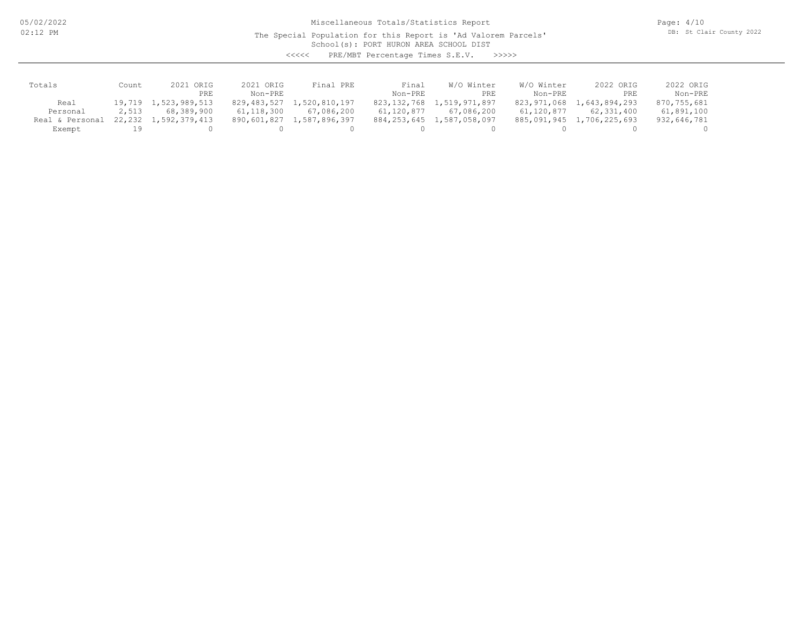05/02/2022 02:12 PM

Miscellaneous Totals/Statistics Report

The Special Population for this Report is 'Ad Valorem Parcels'

Page: 4/10 DB: St Clair County 2022

School(s): PORT HURON AREA SCHOOL DIST

<<<<< PRE/MBT Percentage Times S.E.V. >>>>>

| Totals          | Count    | 2021 ORIG            | 2021 ORIG   | Final PRE     | Final       | W/O Winter    | W/O Winter  | 2022 ORIG     | 2022 ORIG   |
|-----------------|----------|----------------------|-------------|---------------|-------------|---------------|-------------|---------------|-------------|
|                 |          | PRE.                 | Non-PRE     |               | Non-PRE     | PRE           | Non-PRE     | PRE           | Non-PRE     |
| Real            |          | 19,719 1,523,989,513 | 829,483,527 | 1,520,810,197 | 823,132,768 | 1,519,971,897 | 823,971,068 | 1,643,894,293 | 870,755,681 |
| Personal        | 2,513    | 68,389,900           | 61,118,300  | 67,086,200    | 61,120,877  | 67,086,200    | 61,120,877  | 62,331,400    | 61,891,100  |
| Real & Personal | 22,232 1 | 1,592,379,413        | 890,601,827 | 1,587,896,397 | 884,253,645 | 1,587,058,097 | 885,091,945 | 1,706,225,693 | 932,646,781 |
| Exempt          |          |                      |             |               |             |               |             |               |             |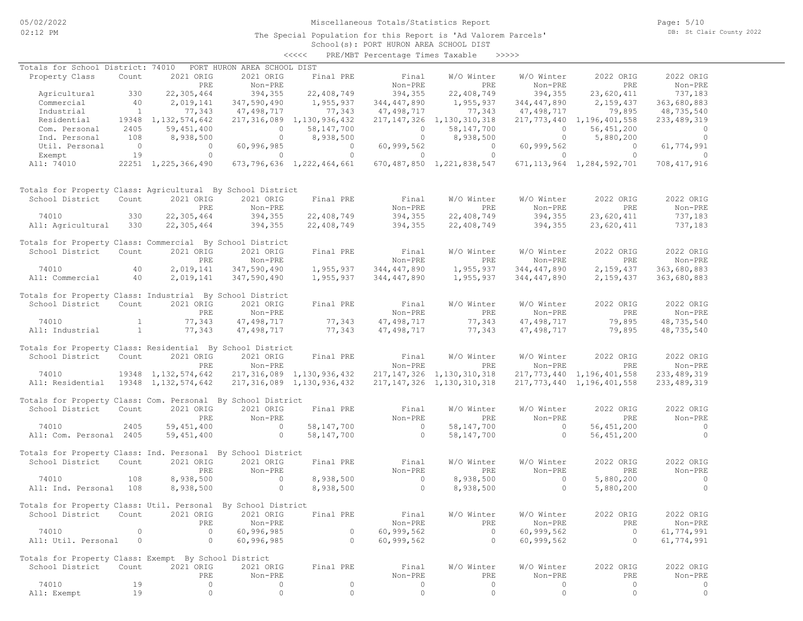# Miscellaneous Totals/Statistics Report

Page: 5/10 DB: St Clair County 2022

#### School(s): PORT HURON AREA SCHOOL DIST <<<<< PRE/MBT Percentage Times Taxable >>>>>

| Totals for School District: 74010                            |                |                        | PORT HURON AREA SCHOOL DIST                         |                           |                                       |                                |                                   |                                |                          |
|--------------------------------------------------------------|----------------|------------------------|-----------------------------------------------------|---------------------------|---------------------------------------|--------------------------------|-----------------------------------|--------------------------------|--------------------------|
| Property Class                                               | Count          | 2021 ORIG              | 2021 ORIG                                           | Final PRE                 | Final                                 | W/O Winter                     | W/O Winter                        | 2022 ORIG                      | 2022 ORIG                |
|                                                              |                | PRE                    | Non-PRE                                             |                           | Non-PRE                               | <b>PRE</b>                     | Non-PRE                           | PRE                            | Non-PRE                  |
| Agricultural                                                 | 330            | 22,305,464             | 394,355                                             | 22,408,749                | 394,355                               | 22,408,749                     | 394,355                           | 23,620,411                     | 737,183                  |
|                                                              |                |                        |                                                     |                           |                                       |                                |                                   | 2,159,437                      |                          |
| Commercial                                                   | 40             | 2,019,141              | 347,590,490                                         | 1,955,937                 | 344,447,890                           | 1,955,937                      | 344,447,890                       |                                | 363,680,883              |
| Industrial                                                   | $\sim$ 1       | 77,343                 | 47,498,717<br>$\frac{1}{100}$<br>316,085<br>0<br>60 | 77,343                    | 47,498,717                            | 77,343                         | 47,498,717                        | 79,895                         | 48,735,540               |
| Residential 19348 1, 132, 574, 642                           |                |                        |                                                     | 217,316,089 1,130,936,432 |                                       | 217, 147, 326 1, 130, 310, 318 |                                   | 217, 773, 440 1, 196, 401, 558 | 233, 489, 319            |
| Com. Personal                                                | 2405           | 59,451,400             |                                                     | 58,147,700                | $\begin{array}{c} 0 \\ 0 \end{array}$ |                                |                                   |                                | $\overline{0}$           |
| Ind. Personal                                                | 108            | 8,938,500              |                                                     | 0 $8,938,500$             |                                       |                                |                                   |                                | $\overline{\phantom{0}}$ |
| Util. Personal                                               | $\sim$ 0       | $\overline{0}$         |                                                     |                           | 0 60,999,562                          | $\overline{0}$                 | 60,999,562                        | $\overline{0}$                 | 61,774,991               |
| Exempt                                                       | 19             | $\overline{0}$         | $\overline{0}$                                      | $\overline{0}$            | $\overline{0}$                        | $\sim$ 0                       | $\overline{0}$                    | $\overline{0}$                 | $\Omega$                 |
| All: 74010 22251 1,225,366,490 673,796,636 1,222,464,661     |                |                        |                                                     |                           |                                       | 670, 487, 850 1, 221, 838, 547 |                                   | 671, 113, 964 1, 284, 592, 701 | 708,417,916              |
| Totals for Property Class: Agricultural By School District   |                |                        |                                                     |                           |                                       |                                |                                   |                                |                          |
| School District                                              | Count          | 2021 ORIG              | 2021 ORIG                                           | Final PRE                 | Final                                 | W/O Winter                     | W/O Winter                        | 2022 ORIG                      | 2022 ORIG                |
|                                                              |                | PRE                    | Non-PRE                                             |                           | Non-PRE                               | PRE                            | Non-PRE                           | PRE                            | Non-PRE                  |
| 74010                                                        | 330            | 22,305,464             | 394,355                                             | 22,408,749                | 394,355                               | 22,408,749                     | 394,355                           | 23,620,411                     | 737,183                  |
| All: Agricultural                                            | 330            | 22,305,464             | 394, 355                                            | 22,408,749                | 394,355                               | 22,408,749                     | 394,355                           | 23,620,411                     | 737,183                  |
|                                                              |                |                        |                                                     |                           |                                       |                                |                                   |                                |                          |
| Totals for Property Class: Commercial By School District     |                |                        |                                                     |                           |                                       |                                |                                   |                                |                          |
| School District Count                                        |                | 2021 ORIG              | 2021 ORIG                                           | Final PRE                 | Final                                 | W/O Winter                     | W/O Winter                        | 2022 ORIG                      | 2022 ORIG                |
|                                                              |                | PRE                    | Non-PRE                                             |                           | Non-PRE                               | PRE                            | Non-PRE                           | PRE                            | Non-PRE                  |
| 40<br>74010                                                  |                | 2,019,141              | 347,590,490                                         | 1,955,937                 | 344,447,890                           | 1,955,937                      | 344,447,890                       | 2,159,437                      | 363,680,883              |
| All: Commercial 40                                           |                | 2,019,141              | 347,590,490                                         | 1,955,937                 | 344,447,890                           | 1,955,937                      | 344,447,890                       | 2,159,437                      | 363,680,883              |
|                                                              |                |                        |                                                     |                           |                                       |                                |                                   |                                |                          |
| Totals for Property Class: Industrial By School District     |                |                        |                                                     |                           |                                       |                                |                                   |                                |                          |
| School District                                              | Count          | 2021 ORIG              | 2021 ORIG                                           | Final PRE                 | Final                                 | W/O Winter                     | W/O Winter                        | 2022 ORIG                      | 2022 ORIG                |
|                                                              |                | PRE                    | Non-PRE                                             |                           | Non-PRE                               | PRE                            | Non-PRE                           | PRE                            | Non-PRE                  |
| 74010                                                        |                | 77,343                 | 47,498,717                                          |                           | 47,498,717                            | 77,343                         | 47,498,717                        | 79,895                         | 48,735,540               |
| All: Industrial                                              | $\sim$ 1       | 77,343                 | 47,498,717                                          | 77, 343<br>77, 343        | 47,498,717                            | 77,343                         | 47,498,717                        | 79,895                         | 48,735,540               |
|                                                              |                |                        |                                                     |                           |                                       |                                |                                   |                                |                          |
| Totals for Property Class: Residential By School District    |                |                        |                                                     |                           |                                       |                                |                                   |                                |                          |
| School District                                              | Count          | 2021 ORIG              | 2021 ORIG                                           | Final PRE                 | Final                                 | W/O Winter                     | W/O Winter                        | 2022 ORIG                      | 2022 ORIG                |
|                                                              |                | PRE                    | Non-PRE                                             |                           | Non-PRE                               | PRE                            | Non-PRE                           | PRE                            | Non-PRE                  |
| 74010                                                        |                | 19348 1, 132, 574, 642 |                                                     | 217,316,089 1,130,936,432 |                                       | 217, 147, 326 1, 130, 310, 318 |                                   | 217, 773, 440 1, 196, 401, 558 | 233, 489, 319            |
| All: Residential 19348 1, 132, 574, 642                      |                |                        |                                                     | 217,316,089 1,130,936,432 |                                       | 217, 147, 326 1, 130, 310, 318 |                                   | 217, 773, 440 1, 196, 401, 558 | 233, 489, 319            |
|                                                              |                |                        |                                                     |                           |                                       |                                |                                   |                                |                          |
| Totals for Property Class: Com. Personal By School District  |                |                        |                                                     |                           |                                       |                                |                                   |                                |                          |
| School District                                              | Count          | 2021 ORIG              | 2021 ORIG                                           | Final PRE                 | Final                                 | W/O Winter                     | W/O Winter                        | 2022 ORIG                      | 2022 ORIG                |
|                                                              |                | PRE                    | Non-PRE                                             |                           | Non-PRE                               | PRE                            | Non-PRE                           | PRE                            | Non-PRE                  |
| 74010                                                        | 2405           | 59,451,400             | $\overline{0}$                                      | 58,147,700                | $\overline{0}$                        | 58,147,700                     | $\overline{0}$                    | 56, 451, 200                   | $\sim$ 0                 |
| All: Com. Personal 2405                                      |                | 59,451,400             | $\sim$ 0                                            | 58,147,700                | $\overline{0}$                        | 58,147,700                     | $\overline{0}$                    | 56,451,200                     | $\overline{0}$           |
|                                                              |                |                        |                                                     |                           |                                       |                                |                                   |                                |                          |
| Totals for Property Class: Ind. Personal By School District  |                |                        |                                                     |                           |                                       |                                |                                   |                                |                          |
| School District                                              | Count          | 2021 ORIG              | 2021 ORIG                                           | Final PRE                 | Final                                 | W/O Winter                     | W/O Winter                        | 2022 ORIG                      | 2022 ORIG                |
|                                                              |                | PRE                    | Non-PRE                                             |                           | Non-PRE                               | PRE                            | Non-PRE                           | PRE                            | Non-PRE                  |
| 74010                                                        | 108            | 8,938,500              | $\sim$ 0                                            | 8,938,500                 | $\sim$ 0                              | 8,938,500                      | $\sim$ 0                          | 5,880,200                      | $\sim$ 0                 |
| All: Ind. Personal 108                                       |                | 8,938,500              | $\circ$                                             | 8,938,500                 | $\overline{a}$                        | 8,938,500                      | $\sim$ 0 $\sim$ 0 $\sim$ 0 $\sim$ | 5,880,200                      | $\circ$                  |
|                                                              |                |                        |                                                     |                           |                                       |                                |                                   |                                |                          |
| Totals for Property Class: Util. Personal By School District |                |                        |                                                     |                           |                                       |                                |                                   |                                |                          |
| School District Count 2021 ORIG 2021 ORIG Final PRE          |                |                        |                                                     |                           | Final                                 |                                | W/O Winter W/O Winter             | 2022 ORIG                      | 2022 ORIG                |
|                                                              |                |                        |                                                     |                           | Non-PRE                               |                                |                                   |                                |                          |
|                                                              |                | PRE                    | Non-PRE                                             |                           |                                       | PRE                            | Non-PRE                           | PRE                            | Non-PRE                  |
| 74010                                                        | $\circ$        | $\circ$                | 60,996,985                                          | $\circ$                   | 60,999,562                            | $\overline{0}$                 | 60,999,562                        | $\overline{0}$                 | 61,774,991               |
| All: Util. Personal                                          | $\overline{0}$ | $\circ$                | 60,996,985                                          | $\circ$                   | 60,999,562                            | $\circ$                        | 60,999,562                        | $\circ$                        | 61,774,991               |
|                                                              |                |                        |                                                     |                           |                                       |                                |                                   |                                |                          |
| Totals for Property Class: Exempt By School District         |                | 2021 ORIG              |                                                     |                           |                                       | W/O Winter                     | W/O Winter                        |                                |                          |
| School District                                              | Count          |                        | 2021 ORIG                                           | Final PRE                 | Final                                 |                                |                                   | 2022 ORIG                      | 2022 ORIG                |
|                                                              |                | PRE                    | Non-PRE                                             |                           | Non-PRE                               | PRE                            | Non-PRE                           | PRE                            | Non-PRE                  |
| 74010                                                        | 19             | 0                      | 0                                                   | $\circ$                   | $\circ$                               | $\circ$                        | 0                                 | $\circ$                        | 0                        |
| All: Exempt                                                  | 19             | $\circ$                | $\circ$                                             | $\circ$                   | $\circ$                               | $\circ$                        | $\circ$                           | 0                              | $\circ$                  |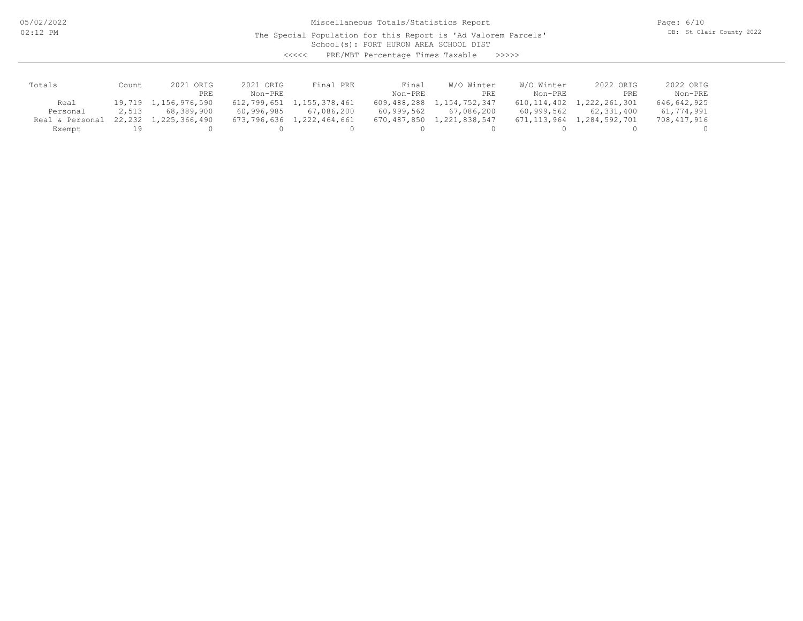05/02/2022 02:12 PM

Miscellaneous Totals/Statistics Report

The Special Population for this Report is 'Ad Valorem Parcels'

Page: 6/10 DB: St Clair County 2022

School(s): PORT HURON AREA SCHOOL DIST

<<<<< PRE/MBT Percentage Times Taxable >>>>>

| Totals          | Count    | ORIG<br>2021  | 2021 ORIG   | Final PRE     | Final       | W/O Winter    | W/O Winter  | 2022 ORIG     | 2022 ORIG   |
|-----------------|----------|---------------|-------------|---------------|-------------|---------------|-------------|---------------|-------------|
|                 |          | PRE           | Non-PRE     |               | Non-PRE     | PRE           | Non-PRE     | PRE           | Non-PRE     |
| Real            | 19,719 1 | 1,156,976,590 | 612,799,651 | 1,155,378,461 | 609,488,288 | 1,154,752,347 | 610,114,402 | 1,222,261,301 | 646,642,925 |
| Personal        | 2,513    | 68,389,900    | 60,996,985  | 67,086,200    | 60,999,562  | 67,086,200    | 60,999,562  | 62,331,400    | 61,774,991  |
| Real & Personal | 22,232   | 1,225,366,490 | 673,796,636 | 1,222,464,661 | 670,487,850 | 1,221,838,547 | 671,113,964 | 1,284,592,701 | 708,417,916 |
| Exempt          |          |               |             |               |             |               |             |               |             |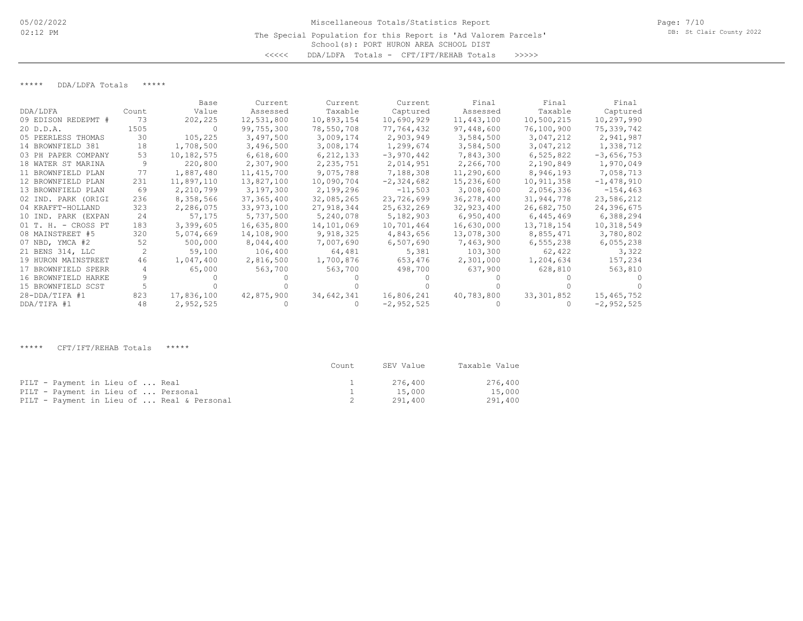# School(s): PORT HURON AREA SCHOOL DIST Miscellaneous Totals/Statistics Report The Special Population for this Report is 'Ad Valorem Parcels' <<<<< DDA/LDFA Totals - CFT/IFT/REHAB Totals >>>>>

## \*\*\*\*\* DDA/LDFA Totals \*\*\*\*\*

|                     |       | Base       | Current      | Current     | Current      | Final      | Final        | Final        |
|---------------------|-------|------------|--------------|-------------|--------------|------------|--------------|--------------|
| DDA/LDFA            | Count | Value      | Assessed     | Taxable     | Captured     | Assessed   | Taxable      | Captured     |
| 09 EDISON REDEPMT # | 73    | 202,225    | 12,531,800   | 10,893,154  | 10,690,929   | 11,443,100 | 10,500,215   | 10,297,990   |
| 20 D.D.A.           | 1505  | $\Omega$   | 99,755,300   | 78,550,708  | 77,764,432   | 97,448,600 | 76,100,900   | 75,339,742   |
| 05 PEERLESS THOMAS  | 30    | 105,225    | 3,497,500    | 3,009,174   | 2,903,949    | 3,584,500  | 3,047,212    | 2,941,987    |
| 14 BROWNFIELD 381   | 18    | 1,708,500  | 3,496,500    | 3,008,174   | 1,299,674    | 3,584,500  | 3,047,212    | 1,338,712    |
| 03 PH PAPER COMPANY | 53    | 10,182,575 | 6,618,600    | 6, 212, 133 | $-3,970,442$ | 7,843,300  | 6,525,822    | $-3,656,753$ |
| 18 WATER ST MARINA  | 9     | 220,800    | 2,307,900    | 2,235,751   | 2,014,951    | 2,266,700  | 2,190,849    | 1,970,049    |
| 11 BROWNFIELD PLAN  | 77    | 1,887,480  | 11, 415, 700 | 9,075,788   | 7,188,308    | 11,290,600 | 8,946,193    | 7,058,713    |
| 12 BROWNFIELD PLAN  | 231   | 11,897,110 | 13,827,100   | 10,090,704  | $-2,324,682$ | 15,236,600 | 10,911,358   | $-1,478,910$ |
| 13 BROWNFIELD PLAN  | 69    | 2,210,799  | 3,197,300    | 2,199,296   | $-11,503$    | 3,008,600  | 2,056,336    | $-154, 463$  |
| 02 IND. PARK (ORIGI | 236   | 8,358,566  | 37, 365, 400 | 32,085,265  | 23,726,699   | 36,278,400 | 31,944,778   | 23,586,212   |
| 04 KRAFFT-HOLLAND   | 323   | 2,286,075  | 33,973,100   | 27,918,344  | 25,632,269   | 32,923,400 | 26,682,750   | 24,396,675   |
| 10 IND. PARK (EXPAN | 24    | 57,175     | 5,737,500    | 5,240,078   | 5,182,903    | 6,950,400  | 6,445,469    | 6,388,294    |
| 01 T. H. - CROSS PT | 183   | 3,399,605  | 16,635,800   | 14,101,069  | 10,701,464   | 16,630,000 | 13,718,154   | 10,318,549   |
| 08 MAINSTREET #5    | 320   | 5,074,669  | 14,108,900   | 9,918,325   | 4,843,656    | 13,078,300 | 8,855,471    | 3,780,802    |
| 07 NBD, YMCA #2     | 52    | 500,000    | 8,044,400    | 7,007,690   | 6,507,690    | 7,463,900  | 6,555,238    | 6,055,238    |
| 21 BENS 314, LLC    |       | 59,100     | 106,400      | 64,481      | 5,381        | 103,300    | 62,422       | 3,322        |
| 19 HURON MAINSTREET | 46    | 1,047,400  | 2,816,500    | 1,700,876   | 653,476      | 2,301,000  | 1,204,634    | 157,234      |
| 17 BROWNFIELD SPERR |       | 65,000     | 563,700      | 563,700     | 498,700      | 637,900    | 628,810      | 563,810      |
| 16 BROWNFIELD HARKE |       |            |              |             |              |            |              |              |
| 15 BROWNFIELD SCST  |       |            |              |             |              |            |              |              |
| $28 - DDA/TIFA$ #1  | 823   | 17,836,100 | 42,875,900   | 34,642,341  | 16,806,241   | 40,783,800 | 33, 301, 852 | 15,465,752   |
| DDA/TIFA #1         | 48    | 2,952,525  |              |             | $-2,952,525$ |            |              | $-2,952,525$ |

\*\*\*\*\* CFT/IFT/REHAB Totals \*\*\*\*\*

|                                            | Count | SEV Value | Taxable Value |
|--------------------------------------------|-------|-----------|---------------|
| PILT - Payment in Lieu of  Real            |       | 276.400   | 276,400       |
| PILT - Payment in Lieu of  Personal        |       | 15,000    | 15,000        |
| PILT - Payment in Lieu of  Real & Personal |       | 291,400   | 291,400       |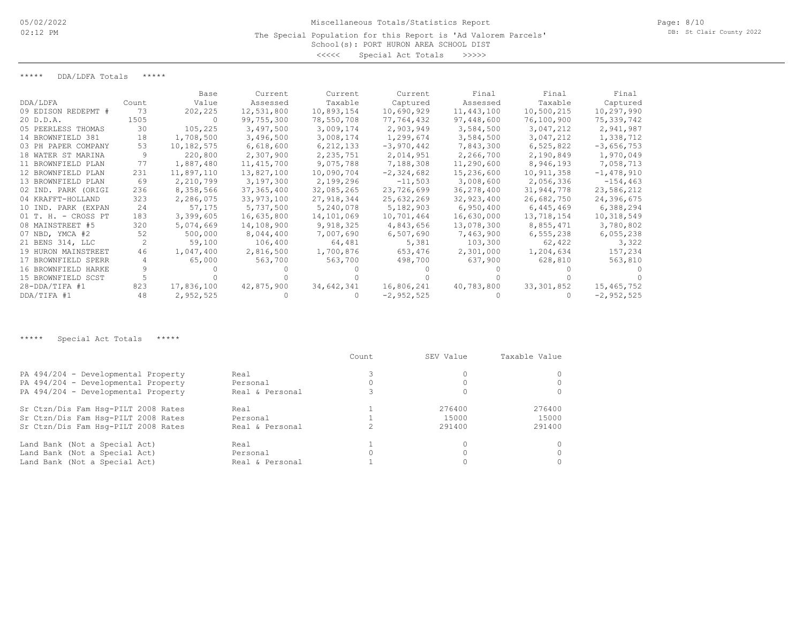### The Special Population for this Report is 'Ad Valorem Parcels'

School(s): PORT HURON AREA SCHOOL DIST <<<<< Special Act Totals >>>>>

\*\*\*\*\* DDA/LDFA Totals \*\*\*\*\*

|                     |       | Base       | Current      | Current    | Current      | Final      | Final        | Final        |
|---------------------|-------|------------|--------------|------------|--------------|------------|--------------|--------------|
| DDA/LDFA            | Count | Value      | Assessed     | Taxable    | Captured     | Assessed   | Taxable      | Captured     |
| 09 EDISON REDEPMT # | 73    | 202,225    | 12,531,800   | 10,893,154 | 10,690,929   | 11,443,100 | 10,500,215   | 10,297,990   |
| 20 D.D.A.           | 1505  | -0         | 99,755,300   | 78,550,708 | 77,764,432   | 97,448,600 | 76,100,900   | 75,339,742   |
| 05 PEERLESS THOMAS  | 30    | 105,225    | 3,497,500    | 3,009,174  | 2,903,949    | 3,584,500  | 3,047,212    | 2,941,987    |
| 14 BROWNFIELD 381   | 18    | 1,708,500  | 3,496,500    | 3,008,174  | 1,299,674    | 3,584,500  | 3,047,212    | 1,338,712    |
| 03 PH PAPER COMPANY | 53    | 10,182,575 | 6,618,600    | 6,212,133  | $-3,970,442$ | 7,843,300  | 6,525,822    | $-3,656,753$ |
| 18 WATER ST MARINA  |       | 220,800    | 2,307,900    | 2,235,751  | 2,014,951    | 2,266,700  | 2,190,849    | 1,970,049    |
| 11 BROWNFIELD PLAN  | 77    | 1,887,480  | 11, 415, 700 | 9,075,788  | 7,188,308    | 11,290,600 | 8,946,193    | 7,058,713    |
| 12 BROWNFIELD PLAN  | 231   | 11,897,110 | 13,827,100   | 10,090,704 | $-2,324,682$ | 15,236,600 | 10,911,358   | $-1,478,910$ |
| 13 BROWNFIELD PLAN  | 69    | 2,210,799  | 3,197,300    | 2,199,296  | $-11,503$    | 3,008,600  | 2,056,336    | $-154, 463$  |
| 02 IND. PARK (ORIGI | 236   | 8,358,566  | 37,365,400   | 32,085,265 | 23,726,699   | 36,278,400 | 31,944,778   | 23,586,212   |
| 04 KRAFFT-HOLLAND   | 323   | 2,286,075  | 33,973,100   | 27,918,344 | 25,632,269   | 32,923,400 | 26,682,750   | 24,396,675   |
| 10 IND. PARK (EXPAN | 24    | 57,175     | 5,737,500    | 5,240,078  | 5,182,903    | 6,950,400  | 6,445,469    | 6,388,294    |
| 01 T. H. - CROSS PT | 183   | 3,399,605  | 16,635,800   | 14,101,069 | 10,701,464   | 16,630,000 | 13,718,154   | 10,318,549   |
| 08 MAINSTREET #5    | 320   | 5,074,669  | 14,108,900   | 9,918,325  | 4,843,656    | 13,078,300 | 8,855,471    | 3,780,802    |
| 07 NBD, YMCA #2     | 52    | 500,000    | 8,044,400    | 7,007,690  | 6,507,690    | 7,463,900  | 6,555,238    | 6,055,238    |
| 21 BENS 314, LLC    |       | 59,100     | 106,400      | 64,481     | 5,381        | 103,300    | 62,422       | 3,322        |
| 19 HURON MAINSTREET | 46    | 1,047,400  | 2,816,500    | 1,700,876  | 653,476      | 2,301,000  | 1,204,634    | 157,234      |
| 17 BROWNFIELD SPERR |       | 65,000     | 563,700      | 563,700    | 498,700      | 637,900    | 628,810      | 563,810      |
| 16 BROWNFIELD HARKE |       |            |              |            |              |            |              |              |
| 15 BROWNFIELD SCST  |       |            |              |            |              |            |              |              |
| $28 - DDA/TIFA$ #1  | 823   | 17,836,100 | 42,875,900   | 34,642,341 | 16,806,241   | 40,783,800 | 33, 301, 852 | 15,465,752   |
| DDA/TIFA #1         | 48    | 2,952,525  |              |            | $-2,952,525$ |            |              | $-2,952,525$ |

\*\*\*\*\* Special Act Totals \*\*\*\*\*

|                                     |                 | Count. | SEV Value | Taxable Value |
|-------------------------------------|-----------------|--------|-----------|---------------|
| PA 494/204 - Developmental Property | Real            |        |           |               |
| PA 494/204 - Developmental Property | Personal        |        |           |               |
| PA 494/204 - Developmental Property | Real & Personal |        |           |               |
| Sr Ctzn/Dis Fam Hsq-PILT 2008 Rates | Real            |        | 276400    | 276400        |
| Sr Ctzn/Dis Fam Hsq-PILT 2008 Rates | Personal        |        | 15000     | 15000         |
| Sr Ctzn/Dis Fam Hsq-PILT 2008 Rates | Real & Personal |        | 291400    | 291400        |
| Land Bank (Not a Special Act)       | Real            |        |           |               |
| Land Bank (Not a Special Act)       | Personal        |        |           |               |
| Land Bank (Not a Special Act)       | Real & Personal |        |           |               |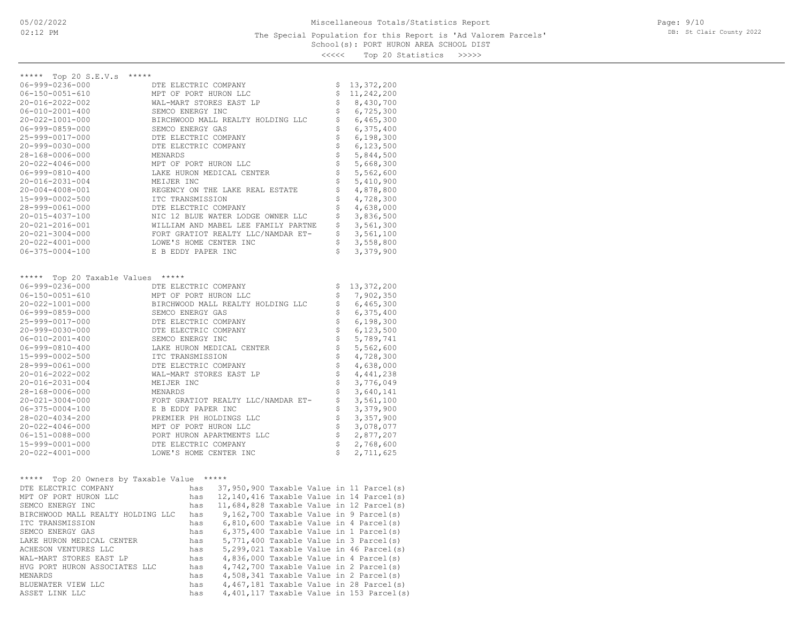## School(s): PORT HURON AREA SCHOOL DIST The Special Population for this Report is 'Ad Valorem Parcels'

Page: 9/10 DB: St Clair County 2022

<<<<< Top 20 Statistics >>>>>

| ***** Top 20 S.E.V.s              | *****                               |                                |              |
|-----------------------------------|-------------------------------------|--------------------------------|--------------|
| $06 - 999 - 0236 - 000$           | DTE ELECTRIC COMPANY                | \$                             | 13,372,200   |
| $06 - 150 - 0051 - 610$           | MPT OF PORT HURON LLC               | \$                             | 11,242,200   |
| 20-016-2022-002                   | WAL-MART STORES EAST LP             | \$                             | 8,430,700    |
| $06 - 010 - 2001 - 400$           | SEMCO ENERGY INC                    | \$                             | 6,725,300    |
| 20-022-1001-000                   | BIRCHWOOD MALL REALTY HOLDING LLC   | \$                             | 6,465,300    |
| $06 - 999 - 0859 - 000$           | SEMCO ENERGY GAS                    | \$                             | 6,375,400    |
| 25-999-0017-000                   | DTE ELECTRIC COMPANY                | \$                             | 6,198,300    |
| $20 - 999 - 0030 - 000$           | DTE ELECTRIC COMPANY                | $\dot{\varsigma}$              | 6,123,500    |
| 28-168-0006-000                   | MENARDS                             | \$                             | 5,844,500    |
| $20 - 022 - 4046 - 000$           | MPT OF PORT HURON LLC               | $\boldsymbol{\dot{\varsigma}}$ | 5,668,300    |
| $06 - 999 - 0810 - 400$           | LAKE HURON MEDICAL CENTER           | \$                             | 5,562,600    |
| $20 - 016 - 2031 - 004$           | MEIJER INC                          | \$                             | 5,410,900    |
| $20 - 004 - 4008 - 001$           |                                     | \$                             | 4,878,800    |
|                                   | REGENCY ON THE LAKE REAL ESTATE     |                                |              |
| 15-999-0002-500                   | ITC TRANSMISSION                    | \$                             | 4,728,300    |
| 28-999-0061-000                   | DTE ELECTRIC COMPANY                | \$                             | 4,638,000    |
| 20-015-4037-100                   | NIC 12 BLUE WATER LODGE OWNER LLC   | \$                             | 3,836,500    |
| 20-021-2016-001                   | WILLIAM AND MABEL LEE FAMILY PARTNE | \$                             | 3,561,300    |
| $20 - 021 - 3004 - 000$           | FORT GRATIOT REALTY LLC/NAMDAR ET-  | \$                             | 3,561,100    |
| $20 - 022 - 4001 - 000$           | LOWE'S HOME CENTER INC              | \$                             | 3,558,800    |
| $06 - 375 - 0004 - 100$           | E B EDDY PAPER INC                  | \$                             | 3,379,900    |
|                                   |                                     |                                |              |
| ***** Top 20 Taxable Values ***** |                                     |                                |              |
| $06 - 999 - 0236 - 000$           | DTE ELECTRIC COMPANY                | \$                             | 13, 372, 200 |
| $06 - 150 - 0051 - 610$           | MPT OF PORT HURON LLC               | \$                             | 7,902,350    |
| 20-022-1001-000                   | BIRCHWOOD MALL REALTY HOLDING LLC   | \$                             | 6,465,300    |
| $06 - 999 - 0859 - 000$           | SEMCO ENERGY GAS                    | \$                             | 6,375,400    |
| 25-999-0017-000                   | DTE ELECTRIC COMPANY                | $\stackrel{.}{\mathsf{S}}$     | 6,198,300    |
| $20 - 999 - 0030 - 000$           | DTE ELECTRIC COMPANY                | $\frac{1}{2}$                  | 6,123,500    |
| $06 - 010 - 2001 - 400$           | SEMCO ENERGY INC                    |                                | 5,789,741    |
| $06 - 999 - 0810 - 400$           | LAKE HURON MEDICAL CENTER           | \$                             | 5,562,600    |
| 15-999-0002-500                   | ITC TRANSMISSION                    | $\dot{\varsigma}$              | 4,728,300    |
| 28-999-0061-000                   | DTE ELECTRIC COMPANY                | $\dot{\mathsf{S}}$             | 4,638,000    |
| $20 - 016 - 2022 - 002$           | WAL-MART STORES EAST LP             | \$                             | 4,441,238    |
| 20-016-2031-004                   | MEIJER INC                          | \$                             | 3,776,049    |
| 28-168-0006-000                   | MENARDS                             | \$                             | 3,640,141    |
| 20-021-3004-000                   | FORT GRATIOT REALTY LLC/NAMDAR ET-  | $\dot{\varsigma}$              | 3,561,100    |
| $06 - 375 - 0004 - 100$           | E B EDDY PAPER INC                  | $\frac{1}{2}$                  | 3,379,900    |
| $28 - 020 - 4034 - 200$           | PREMIER PH HOLDINGS LLC             |                                | 3,357,900    |
| $20 - 022 - 4046 - 000$           | MPT OF PORT HURON LLC               |                                | 3,078,077    |
| $06 - 151 - 0088 - 000$           | PORT HURON APARTMENTS LLC           | $\frac{1}{2}$                  | 2,877,207    |
| 15-999-0001-000                   | DTE ELECTRIC COMPANY                | \$                             | 2,768,600    |
| $20 - 022 - 4001 - 000$           | LOWE'S HOME CENTER INC              | $\mathsf S$                    | 2,711,625    |
|                                   |                                     |                                |              |
|                                   |                                     |                                |              |

| *****<br>*****<br>Top 20 Owners by Taxable Value |     |  |  |  |                                           |  |
|--------------------------------------------------|-----|--|--|--|-------------------------------------------|--|
| DTE ELECTRIC COMPANY                             | has |  |  |  | 37,950,900 Taxable Value in 11 Parcel(s)  |  |
| MPT OF PORT HURON LLC                            | has |  |  |  | 12,140,416 Taxable Value in 14 Parcel(s)  |  |
| SEMCO ENERGY INC                                 | has |  |  |  | 11,684,828 Taxable Value in 12 Parcel(s)  |  |
| BIRCHWOOD MALL REALTY HOLDING LLC                | has |  |  |  | 9,162,700 Taxable Value in 9 Parcel(s)    |  |
| ITC TRANSMISSION                                 | has |  |  |  | $6,810,600$ Taxable Value in 4 Parcel(s)  |  |
| SEMCO ENERGY GAS                                 | has |  |  |  | $6,375,400$ Taxable Value in 1 Parcel(s)  |  |
| LAKE HURON MEDICAL CENTER                        | has |  |  |  | 5,771,400 Taxable Value in 3 Parcel(s)    |  |
| ACHESON VENTURES LLC                             | has |  |  |  | $5,299,021$ Taxable Value in 46 Parcel(s) |  |
| WAL-MART STORES EAST LP                          | has |  |  |  | 4,836,000 Taxable Value in 4 Parcel(s)    |  |
| HVG PORT HURON ASSOCIATES LLC                    | has |  |  |  | $4,742,700$ Taxable Value in 2 Parcel(s)  |  |
| MENARDS                                          | has |  |  |  | 4,508,341 Taxable Value in 2 Parcel(s)    |  |
| BLUEWATER VIEW LLC                               | has |  |  |  | 4,467,181 Taxable Value in 28 Parcel(s)   |  |
| ASSET LINK LLC                                   | has |  |  |  | 4,401,117 Taxable Value in 153 Parcel(s)  |  |